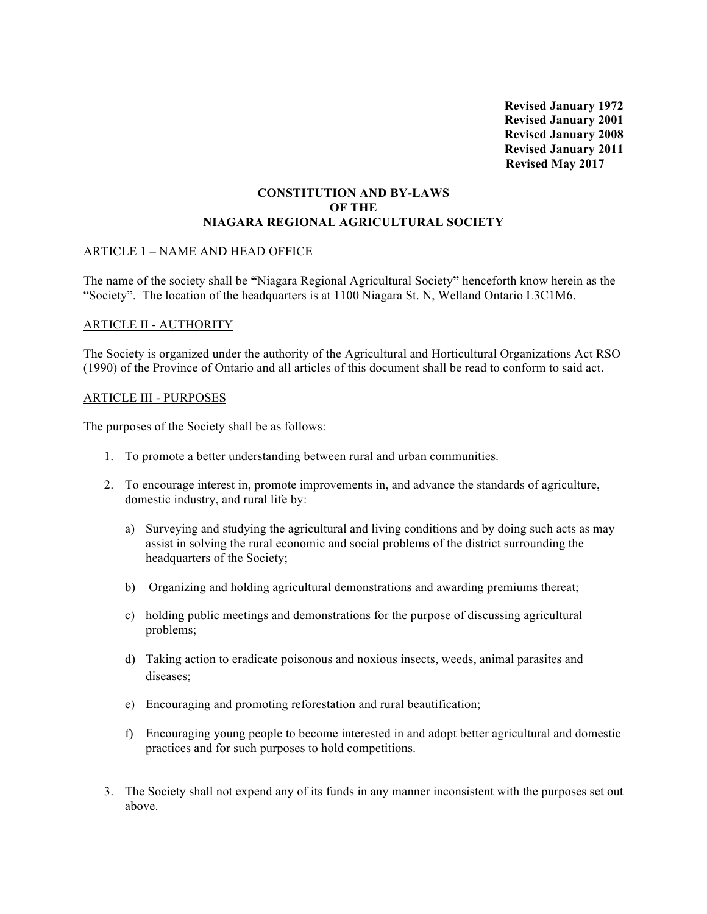**Revised January 1972 Revised January 2001 Revised January 2008 Revised January 2011 Revised May 2017**

## **CONSTITUTION AND BY-LAWS OF THE NIAGARA REGIONAL AGRICULTURAL SOCIETY**

## ARTICLE 1 – NAME AND HEAD OFFICE

The name of the society shall be **"**Niagara Regional Agricultural Society**"** henceforth know herein as the "Society". The location of the headquarters is at 1100 Niagara St. N, Welland Ontario L3C1M6.

### ARTICLE II - AUTHORITY

The Society is organized under the authority of the Agricultural and Horticultural Organizations Act RSO (1990) of the Province of Ontario and all articles of this document shall be read to conform to said act.

### ARTICLE III - PURPOSES

The purposes of the Society shall be as follows:

- 1. To promote a better understanding between rural and urban communities.
- 2. To encourage interest in, promote improvements in, and advance the standards of agriculture, domestic industry, and rural life by:
	- a) Surveying and studying the agricultural and living conditions and by doing such acts as may assist in solving the rural economic and social problems of the district surrounding the headquarters of the Society;
	- b) Organizing and holding agricultural demonstrations and awarding premiums thereat;
	- c) holding public meetings and demonstrations for the purpose of discussing agricultural problems;
	- d) Taking action to eradicate poisonous and noxious insects, weeds, animal parasites and diseases;
	- e) Encouraging and promoting reforestation and rural beautification;
	- f) Encouraging young people to become interested in and adopt better agricultural and domestic practices and for such purposes to hold competitions.
- 3. The Society shall not expend any of its funds in any manner inconsistent with the purposes set out above.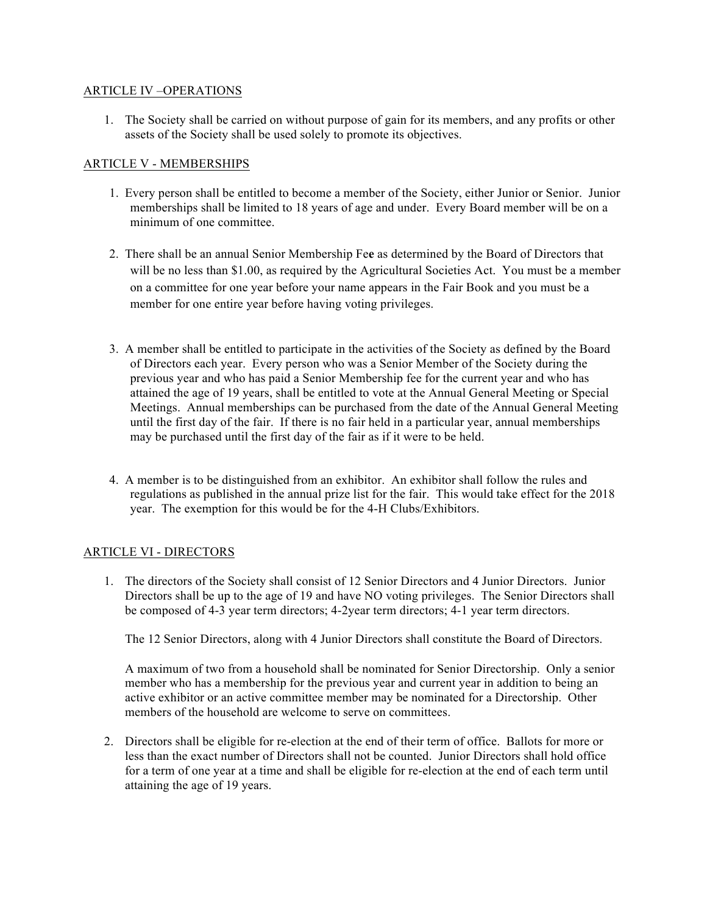## ARTICLE IV –OPERATIONS

1. The Society shall be carried on without purpose of gain for its members, and any profits or other assets of the Society shall be used solely to promote its objectives.

## ARTICLE V - MEMBERSHIPS

- 1. Every person shall be entitled to become a member of the Society, either Junior or Senior. Junior memberships shall be limited to 18 years of age and under. Every Board member will be on a minimum of one committee.
- 2. There shall be an annual Senior Membership Fe**e** as determined by the Board of Directors that will be no less than \$1.00, as required by the Agricultural Societies Act. You must be a member on a committee for one year before your name appears in the Fair Book and you must be a member for one entire year before having voting privileges.
- 3. A member shall be entitled to participate in the activities of the Society as defined by the Board of Directors each year. Every person who was a Senior Member of the Society during the previous year and who has paid a Senior Membership fee for the current year and who has attained the age of 19 years, shall be entitled to vote at the Annual General Meeting or Special Meetings. Annual memberships can be purchased from the date of the Annual General Meeting until the first day of the fair. If there is no fair held in a particular year, annual memberships may be purchased until the first day of the fair as if it were to be held.
- 4. A member is to be distinguished from an exhibitor. An exhibitor shall follow the rules and regulations as published in the annual prize list for the fair. This would take effect for the 2018 year. The exemption for this would be for the 4-H Clubs/Exhibitors.

## ARTICLE VI - DIRECTORS

1. The directors of the Society shall consist of 12 Senior Directors and 4 Junior Directors. Junior Directors shall be up to the age of 19 and have NO voting privileges. The Senior Directors shall be composed of 4-3 year term directors; 4-2year term directors; 4-1 year term directors.

The 12 Senior Directors, along with 4 Junior Directors shall constitute the Board of Directors.

A maximum of two from a household shall be nominated for Senior Directorship. Only a senior member who has a membership for the previous year and current year in addition to being an active exhibitor or an active committee member may be nominated for a Directorship. Other members of the household are welcome to serve on committees.

2. Directors shall be eligible for re-election at the end of their term of office. Ballots for more or less than the exact number of Directors shall not be counted. Junior Directors shall hold office for a term of one year at a time and shall be eligible for re-election at the end of each term until attaining the age of 19 years.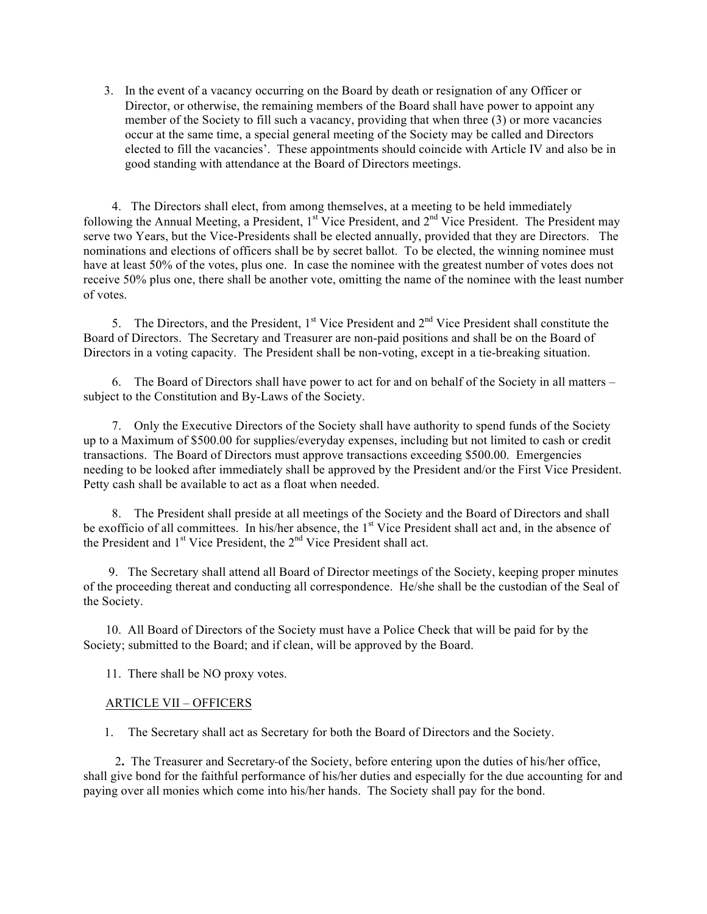3. In the event of a vacancy occurring on the Board by death or resignation of any Officer or Director, or otherwise, the remaining members of the Board shall have power to appoint any member of the Society to fill such a vacancy, providing that when three (3) or more vacancies occur at the same time, a special general meeting of the Society may be called and Directors elected to fill the vacancies'. These appointments should coincide with Article IV and also be in good standing with attendance at the Board of Directors meetings.

 4. The Directors shall elect, from among themselves, at a meeting to be held immediately following the Annual Meeting, a President,  $1<sup>st</sup>$  Vice President, and  $2<sup>nd</sup>$  Vice President. The President may serve two Years, but the Vice-Presidents shall be elected annually, provided that they are Directors. The nominations and elections of officers shall be by secret ballot. To be elected, the winning nominee must have at least 50% of the votes, plus one. In case the nominee with the greatest number of votes does not receive 50% plus one, there shall be another vote, omitting the name of the nominee with the least number of votes.

5. The Directors, and the President,  $1<sup>st</sup>$  Vice President and  $2<sup>nd</sup>$  Vice President shall constitute the Board of Directors. The Secretary and Treasurer are non-paid positions and shall be on the Board of Directors in a voting capacity. The President shall be non-voting, except in a tie-breaking situation.

 6. The Board of Directors shall have power to act for and on behalf of the Society in all matters – subject to the Constitution and By-Laws of the Society.

 7. Only the Executive Directors of the Society shall have authority to spend funds of the Society up to a Maximum of \$500.00 for supplies/everyday expenses, including but not limited to cash or credit transactions. The Board of Directors must approve transactions exceeding \$500.00. Emergencies needing to be looked after immediately shall be approved by the President and/or the First Vice President. Petty cash shall be available to act as a float when needed.

 8. The President shall preside at all meetings of the Society and the Board of Directors and shall be exofficio of all committees. In his/her absence, the 1<sup>st</sup> Vice President shall act and, in the absence of the President and  $1<sup>st</sup>$  Vice President, the  $2<sup>nd</sup>$  Vice President shall act.

 9. The Secretary shall attend all Board of Director meetings of the Society, keeping proper minutes of the proceeding thereat and conducting all correspondence. He/she shall be the custodian of the Seal of the Society.

 10. All Board of Directors of the Society must have a Police Check that will be paid for by the Society; submitted to the Board; and if clean, will be approved by the Board.

11. There shall be NO proxy votes.

#### ARTICLE VII – OFFICERS

1. The Secretary shall act as Secretary for both the Board of Directors and the Society.

 2**.** The Treasurer and Secretary of the Society, before entering upon the duties of his/her office, shall give bond for the faithful performance of his/her duties and especially for the due accounting for and paying over all monies which come into his/her hands. The Society shall pay for the bond.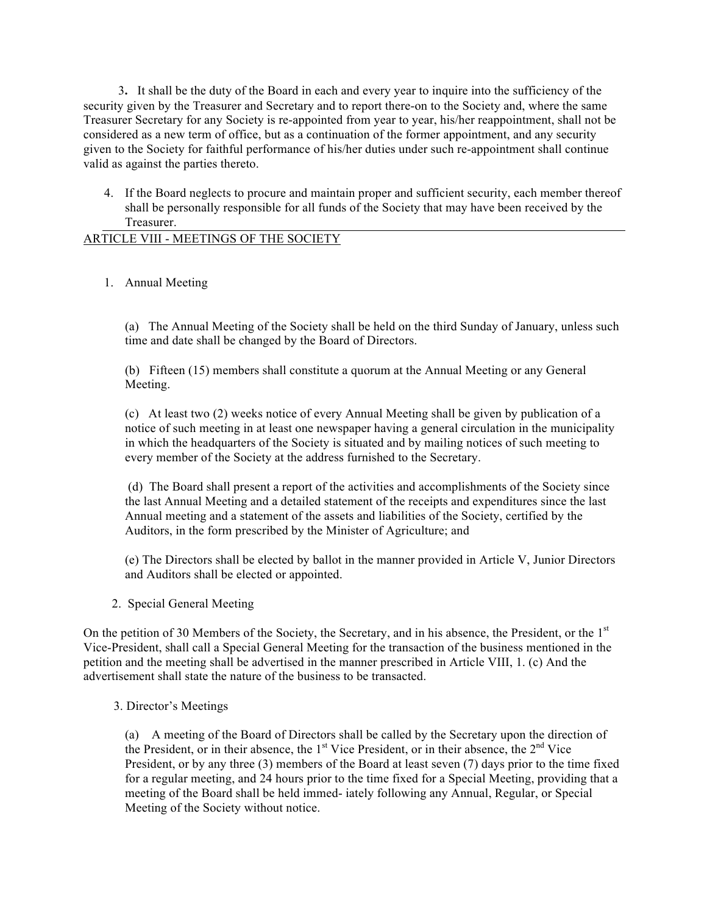3**.** It shall be the duty of the Board in each and every year to inquire into the sufficiency of the security given by the Treasurer and Secretary and to report there-on to the Society and, where the same Treasurer Secretary for any Society is re-appointed from year to year, his/her reappointment, shall not be considered as a new term of office, but as a continuation of the former appointment, and any security given to the Society for faithful performance of his/her duties under such re-appointment shall continue valid as against the parties thereto.

4. If the Board neglects to procure and maintain proper and sufficient security, each member thereof shall be personally responsible for all funds of the Society that may have been received by the Treasurer.

# ARTICLE VIII - MEETINGS OF THE SOCIETY

1. Annual Meeting

(a) The Annual Meeting of the Society shall be held on the third Sunday of January, unless such time and date shall be changed by the Board of Directors.

(b) Fifteen (15) members shall constitute a quorum at the Annual Meeting or any General Meeting.

(c) At least two (2) weeks notice of every Annual Meeting shall be given by publication of a notice of such meeting in at least one newspaper having a general circulation in the municipality in which the headquarters of the Society is situated and by mailing notices of such meeting to every member of the Society at the address furnished to the Secretary.

(d) The Board shall present a report of the activities and accomplishments of the Society since the last Annual Meeting and a detailed statement of the receipts and expenditures since the last Annual meeting and a statement of the assets and liabilities of the Society, certified by the Auditors, in the form prescribed by the Minister of Agriculture; and

(e) The Directors shall be elected by ballot in the manner provided in Article V, Junior Directors and Auditors shall be elected or appointed.

2.Special General Meeting

On the petition of 30 Members of the Society, the Secretary, and in his absence, the President, or the 1<sup>st</sup> Vice-President, shall call a Special General Meeting for the transaction of the business mentioned in the petition and the meeting shall be advertised in the manner prescribed in Article VIII, 1. (c) And the advertisement shall state the nature of the business to be transacted.

#### 3. Director's Meetings

(a) A meeting of the Board of Directors shall be called by the Secretary upon the direction of the President, or in their absence, the 1<sup>st</sup> Vice President, or in their absence, the 2<sup>nd</sup> Vice President, or by any three (3) members of the Board at least seven (7) days prior to the time fixed for a regular meeting, and 24 hours prior to the time fixed for a Special Meeting, providing that a meeting of the Board shall be held immed- iately following any Annual, Regular, or Special Meeting of the Society without notice.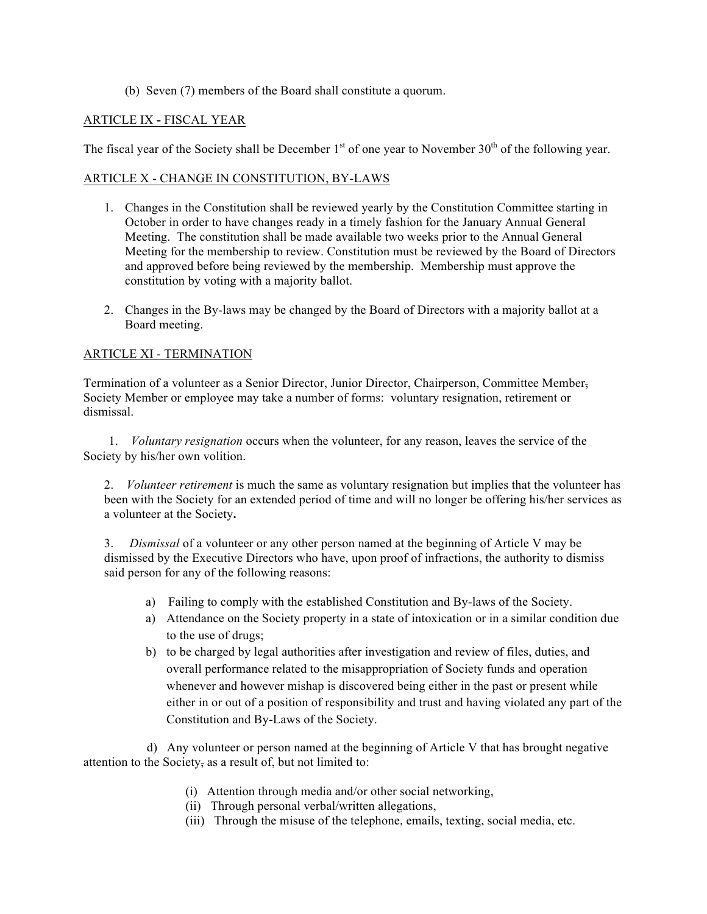(b) Seven (7) members of the Board shall constitute a quorum.

## ARTICLE IX **-** FISCAL YEAR

The fiscal year of the Society shall be December  $1<sup>st</sup>$  of one year to November  $30<sup>th</sup>$  of the following year.

## ARTICLE X - CHANGE IN CONSTITUTION, BY-LAWS

- 1. Changes in the Constitution shall be reviewed yearly by the Constitution Committee starting in October in order to have changes ready in a timely fashion for the January Annual General Meeting. The constitution shall be made available two weeks prior to the Annual General Meeting for the membership to review. Constitution must be reviewed by the Board of Directors and approved before being reviewed by the membership. Membership must approve the constitution by voting with a majority ballot.
- 2. Changes in the By-laws may be changed by the Board of Directors with a majority ballot at a Board meeting.

## ARTICLE XI - TERMINATION

Termination of a volunteer as a Senior Director, Junior Director, Chairperson, Committee Member, Society Member or employee may take a number of forms: voluntary resignation, retirement or dismissal.

1. *Voluntary resignation* occurs when the volunteer, for any reason, leaves the service of the Society by his/her own volition.

2. *Volunteer retirement* is much the same as voluntary resignation but implies that the volunteer has been with the Society for an extended period of time and will no longer be offering his/her services as a volunteer at the Society**.** 

3. *Dismissal* of a volunteer or any other person named at the beginning of Article V may be dismissed by the Executive Directors who have, upon proof of infractions, the authority to dismiss said person for any of the following reasons:

- a) Failing to comply with the established Constitution and By-laws of the Society.
- a) Attendance on the Society property in a state of intoxication or in a similar condition due to the use of drugs;
- b) to be charged by legal authorities after investigation and review of files, duties, and overall performance related to the misappropriation of Society funds and operation whenever and however mishap is discovered being either in the past or present while either in or out of a position of responsibility and trust and having violated any part of the Constitution and By-Laws of the Society.

 d) Any volunteer or person named at the beginning of Article V that has brought negative attention to the Society, as a result of, but not limited to:

- (i) Attention through media and/or other social networking,
- (ii) Through personal verbal/written allegations,
- (iii) Through the misuse of the telephone, emails, texting, social media, etc.